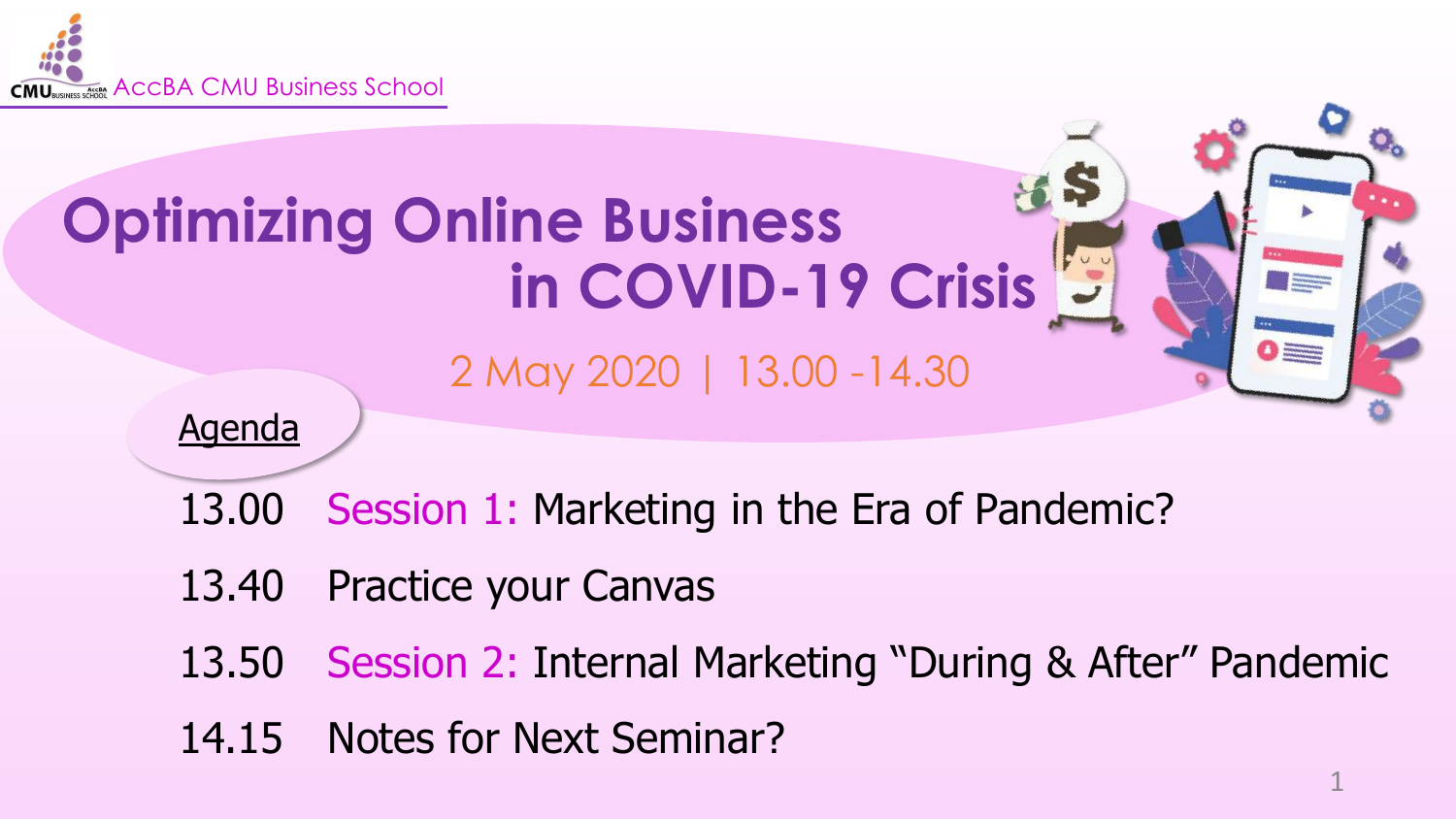

## **Optimizing Online Business in COVID-19 Crisis**

2 May 2020 | 13.00 -14.30

Agenda

- 13.00 Session 1: Marketing in the Era of Pandemic?
- 13.40 Practice your Canvas
- 13.50 Session 2: Internal Marketing "During & After" Pandemic
- 14.15 Notes for Next Seminar?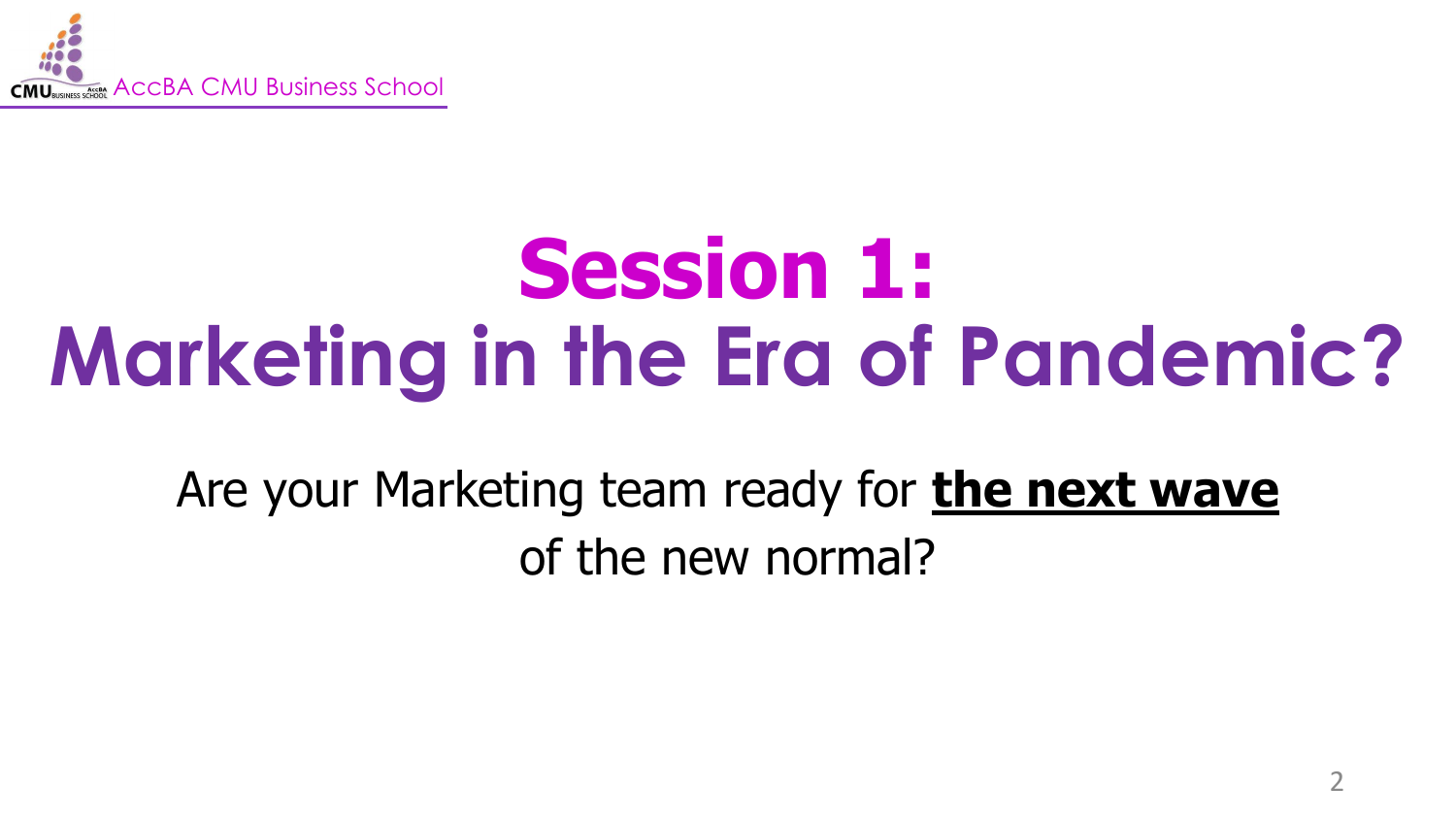

## **Session 1: Marketing in the Era of Pandemic?**

Are your Marketing team ready for **the next wave**  of the new normal?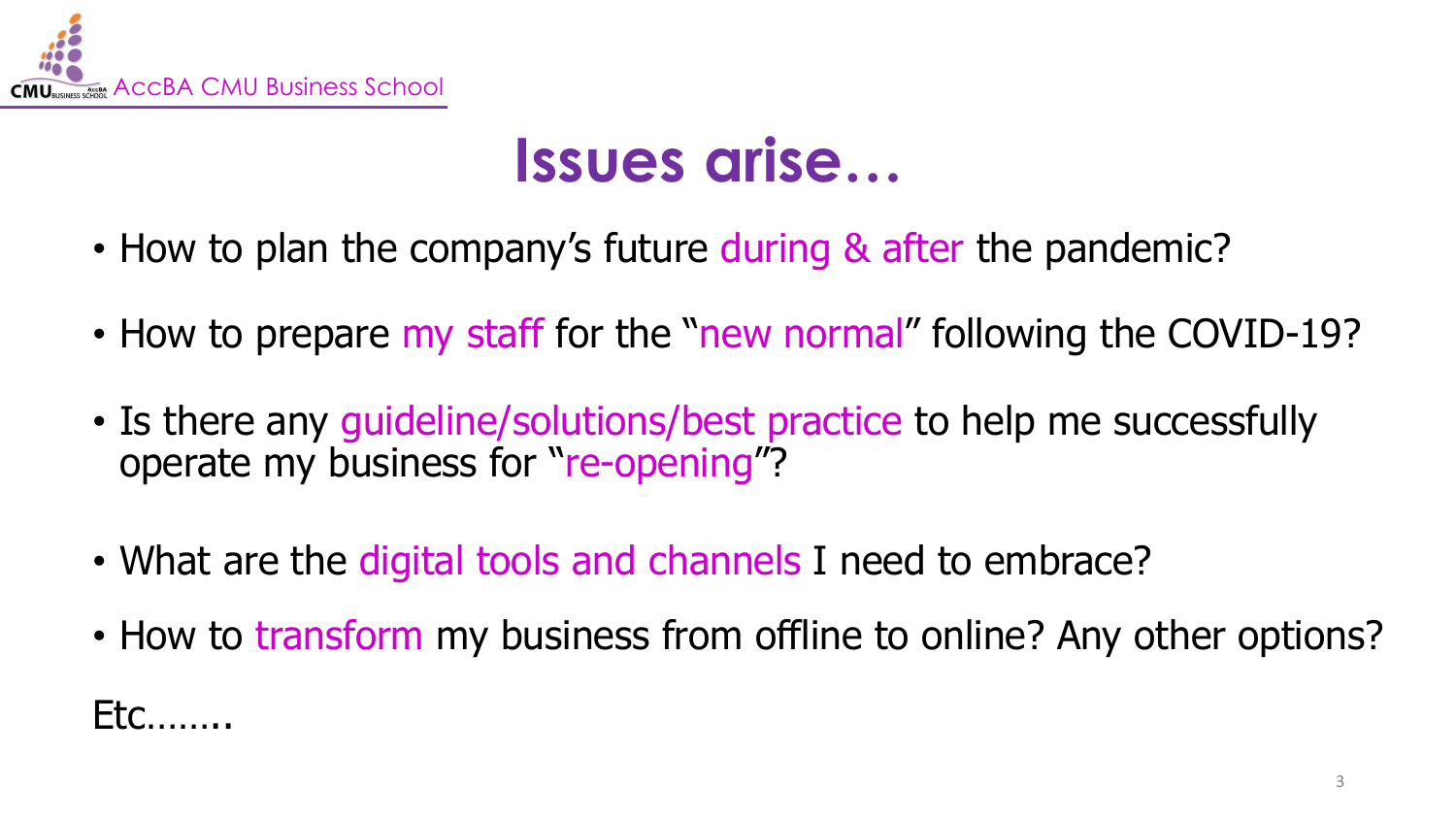

#### **Issues arise…**

- How to plan the company's future during & after the pandemic?
- How to prepare my staff for the "new normal" following the COVID-19?
- Is there any guideline/solutions/best practice to help me successfully operate my business for "re-opening"?
- What are the digital tools and channels I need to embrace?
- How to transform my business from offline to online? Any other options?

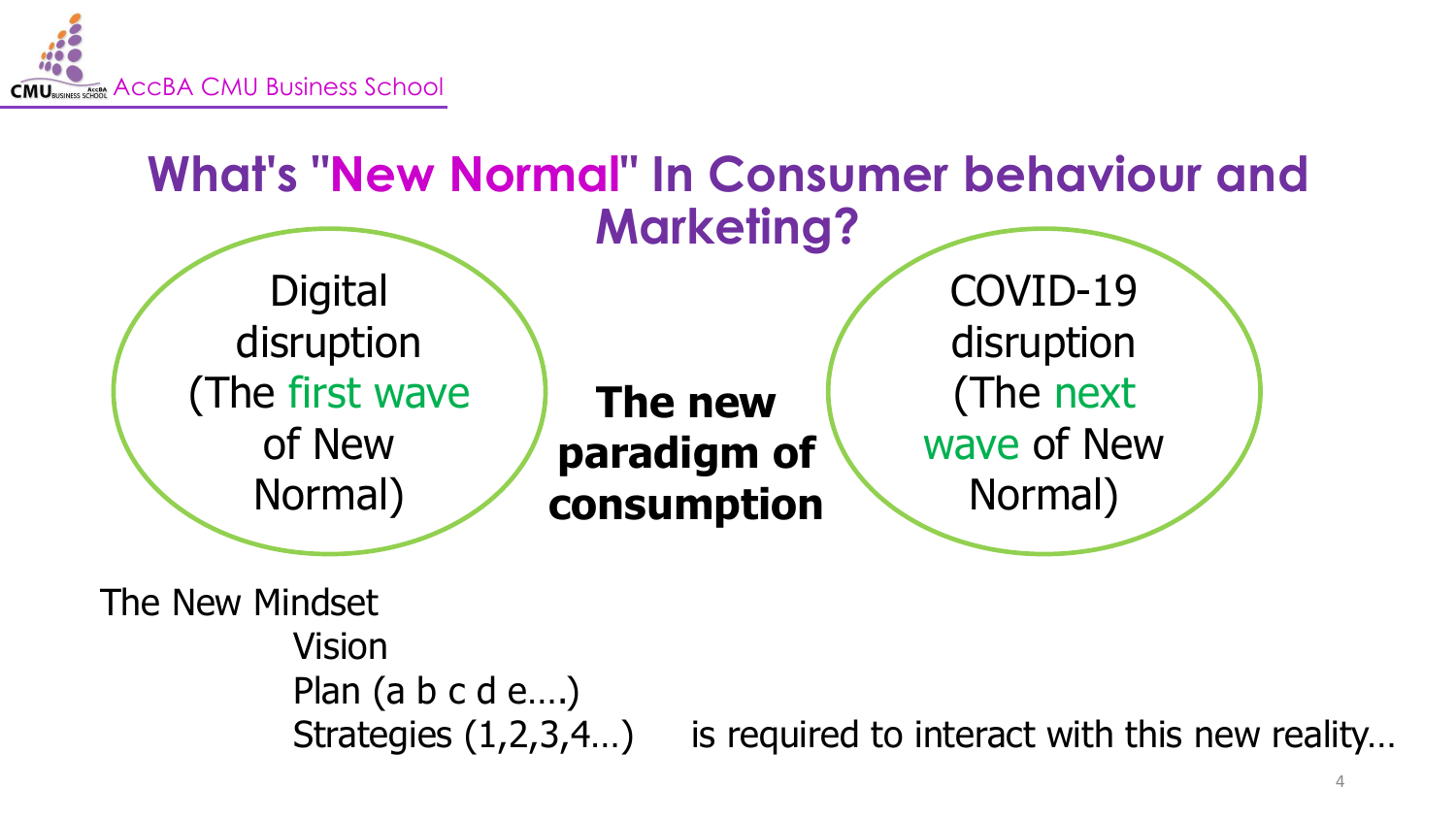



The New Mindset Vision Plan (a b c d e….) Strategies (1,2,3,4…) is required to interact with this new reality…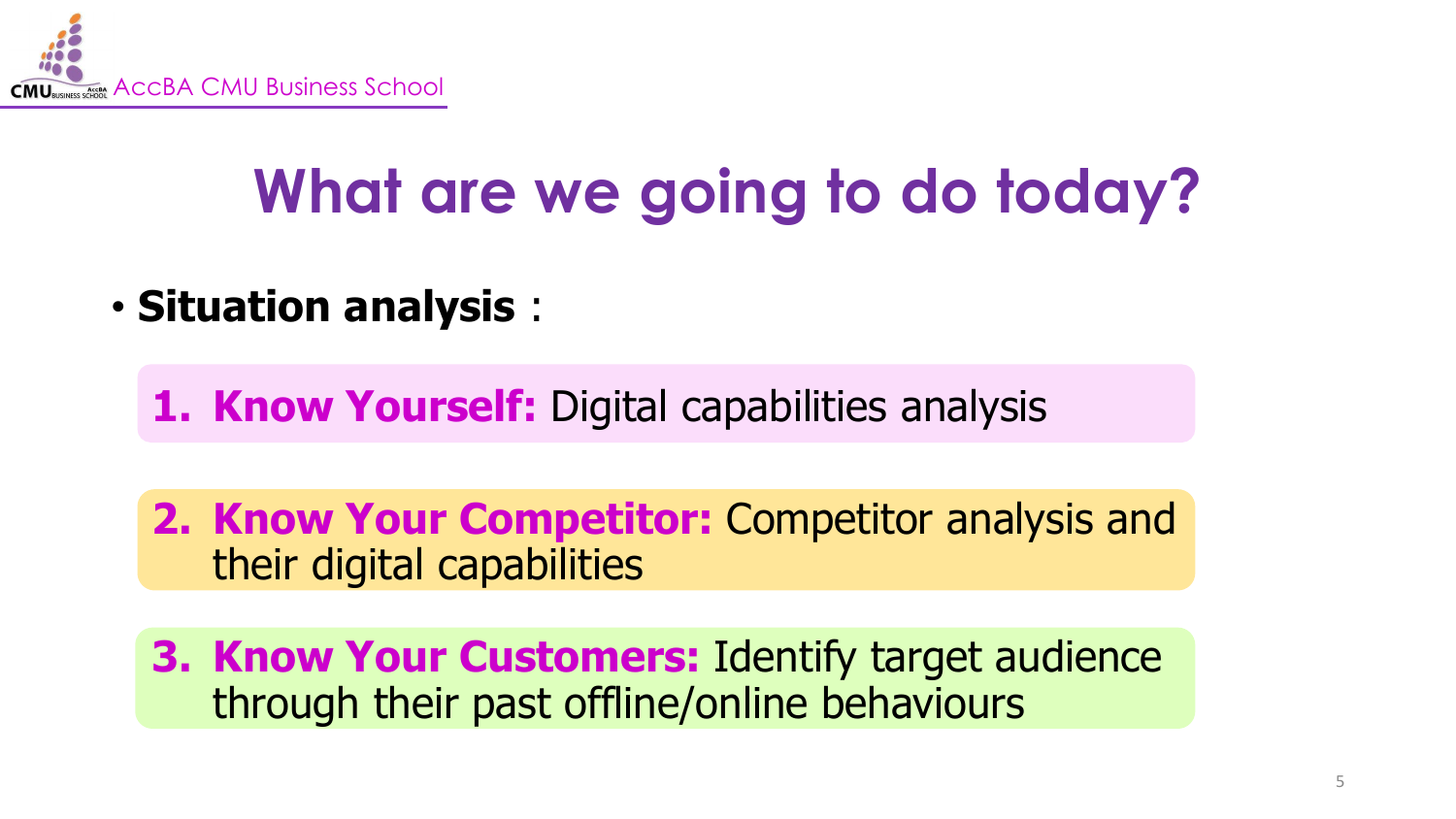

## **What are we going to do today?**

• **Situation analysis** :

**1. Know Yourself:** Digital capabilities analysis

**2. Know Your Competitor:** Competitor analysis and their digital capabilities

**3. Know Your Customers:** Identify target audience through their past offline/online behaviours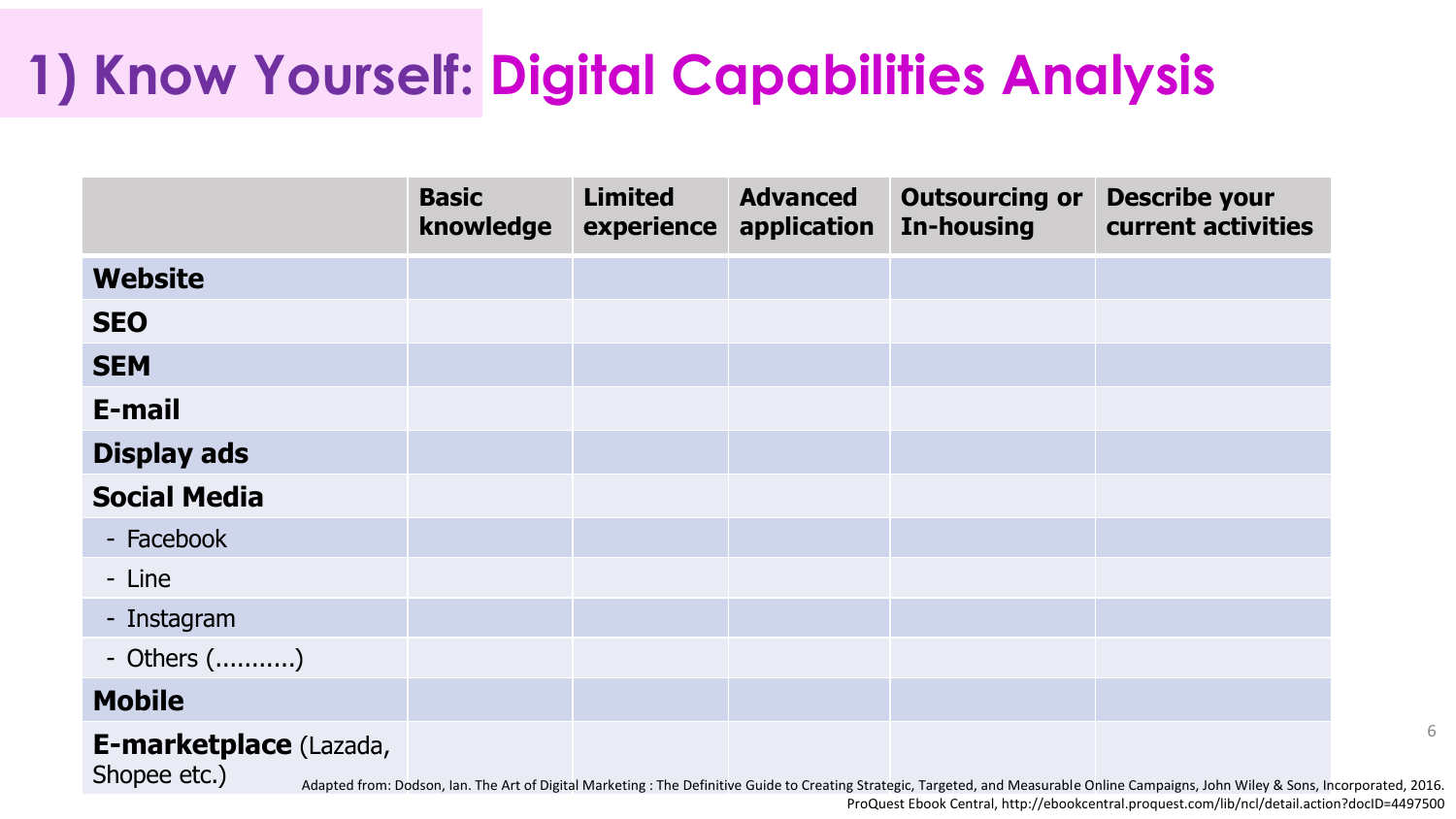|                        | <b>Basic</b><br>knowledge | <b>Limited</b><br>experience | <b>Advanced</b><br>application | <b>Outsourcing or</b><br><b>In-housing</b> | <b>Describe your</b><br>current activities |
|------------------------|---------------------------|------------------------------|--------------------------------|--------------------------------------------|--------------------------------------------|
| <b>Website</b>         |                           |                              |                                |                                            |                                            |
| <b>SEO</b>             |                           |                              |                                |                                            |                                            |
| <b>SEM</b>             |                           |                              |                                |                                            |                                            |
| E-mail                 |                           |                              |                                |                                            |                                            |
| <b>Display ads</b>     |                           |                              |                                |                                            |                                            |
| <b>Social Media</b>    |                           |                              |                                |                                            |                                            |
| - Facebook             |                           |                              |                                |                                            |                                            |
| - Line                 |                           |                              |                                |                                            |                                            |
| - Instagram            |                           |                              |                                |                                            |                                            |
| - Others ()            |                           |                              |                                |                                            |                                            |
| <b>Mobile</b>          |                           |                              |                                |                                            |                                            |
| E-marketplace (Lazada, |                           |                              |                                |                                            |                                            |

Shopee etc.) Adapted from: Dodson, Ian. The Art of Digital Marketing : The Definitive Guide to Creating Strategic, Targeted, and Measurable Online Campaigns, John Wiley & Sons, Incorporated, 2016. ProQuest Ebook Central, http://ebookcentral.proquest.com/lib/ncl/detail.action?docID=4497500

6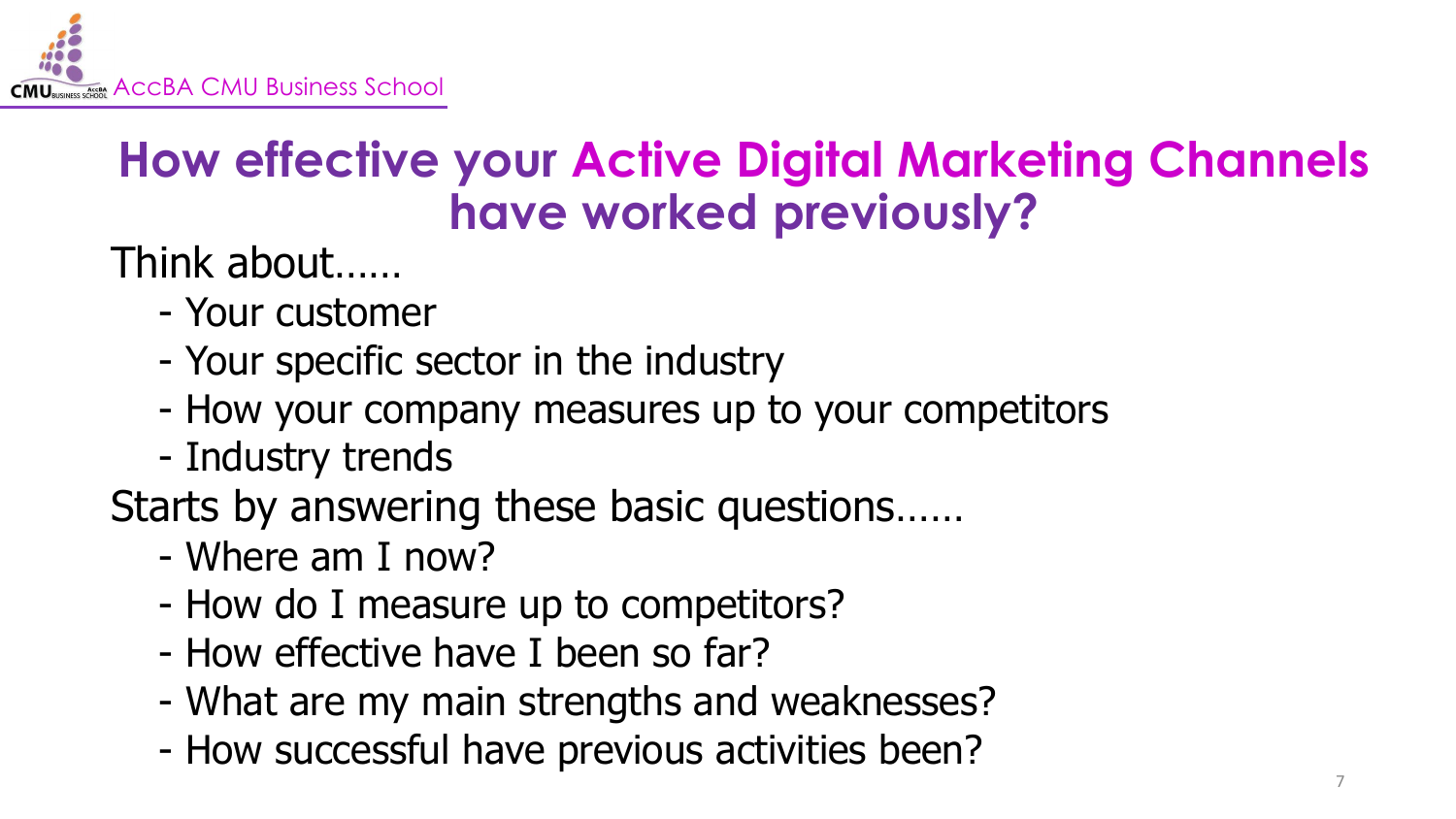

#### **How effective your Active Digital Marketing Channels have worked previously?**

Think about……

- Your customer
- Your specific sector in the industry
- How your company measures up to your competitors
- Industry trends

Starts by answering these basic questions……

- Where am I now?
- How do I measure up to competitors?
- How effective have I been so far?
- What are my main strengths and weaknesses?
- How successful have previous activities been?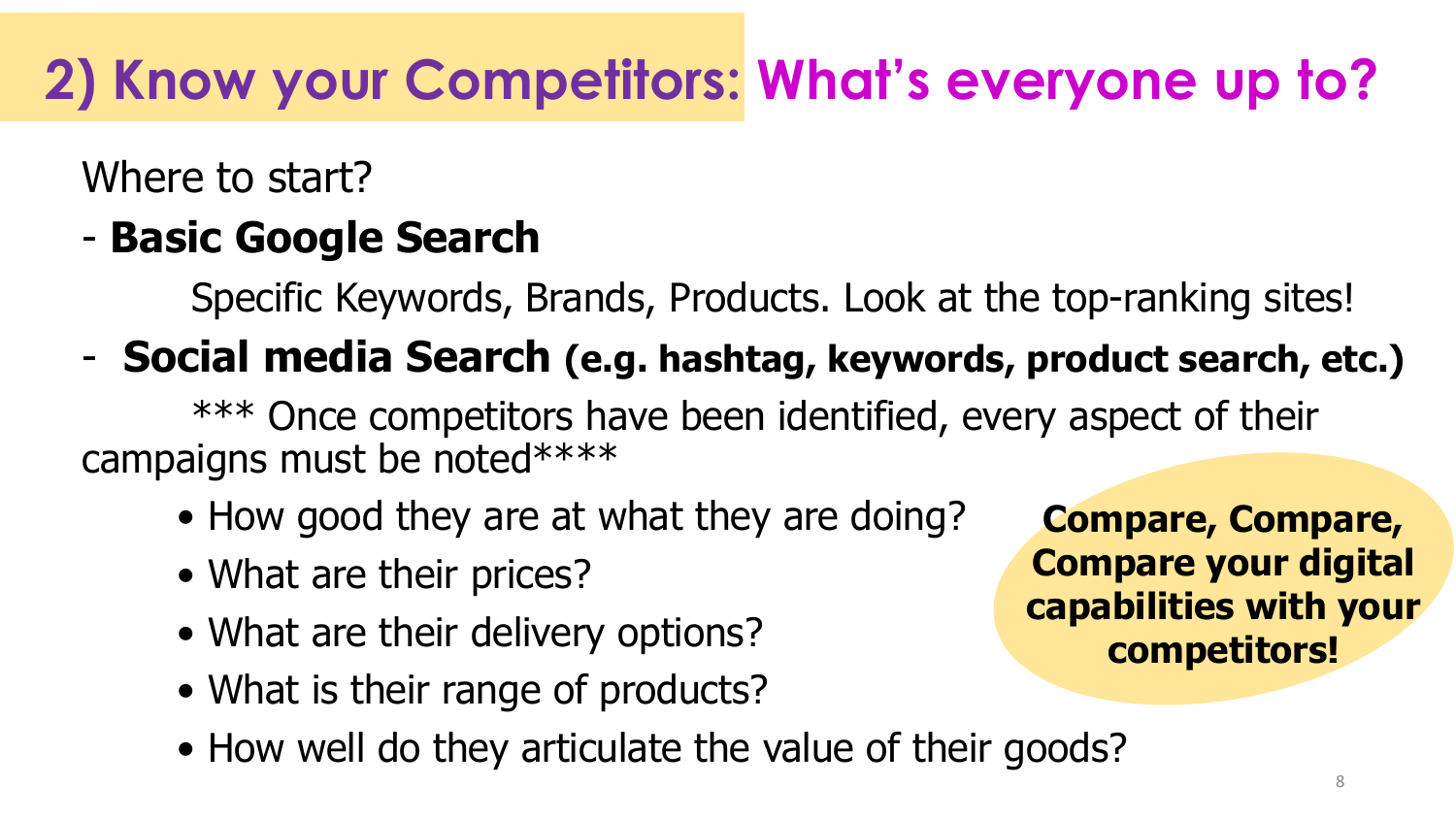#### **2) Know your Competitors: What's everyone up to?**

Where to start?

#### - **Basic Google Search**

Specific Keywords, Brands, Products. Look at the top-ranking sites!

#### - **Social media Search (e.g. hashtag, keywords, product search, etc.)**

\*\*\* Once competitors have been identified, every aspect of their campaigns must be noted\*\*\*\*

- How good they are at what they are doing?
- What are their prices?
- What are their delivery options?
- What is their range of products?
- How well do they articulate the value of their goods?

**Compare, Compare, Compare your digital capabilities with your competitors!**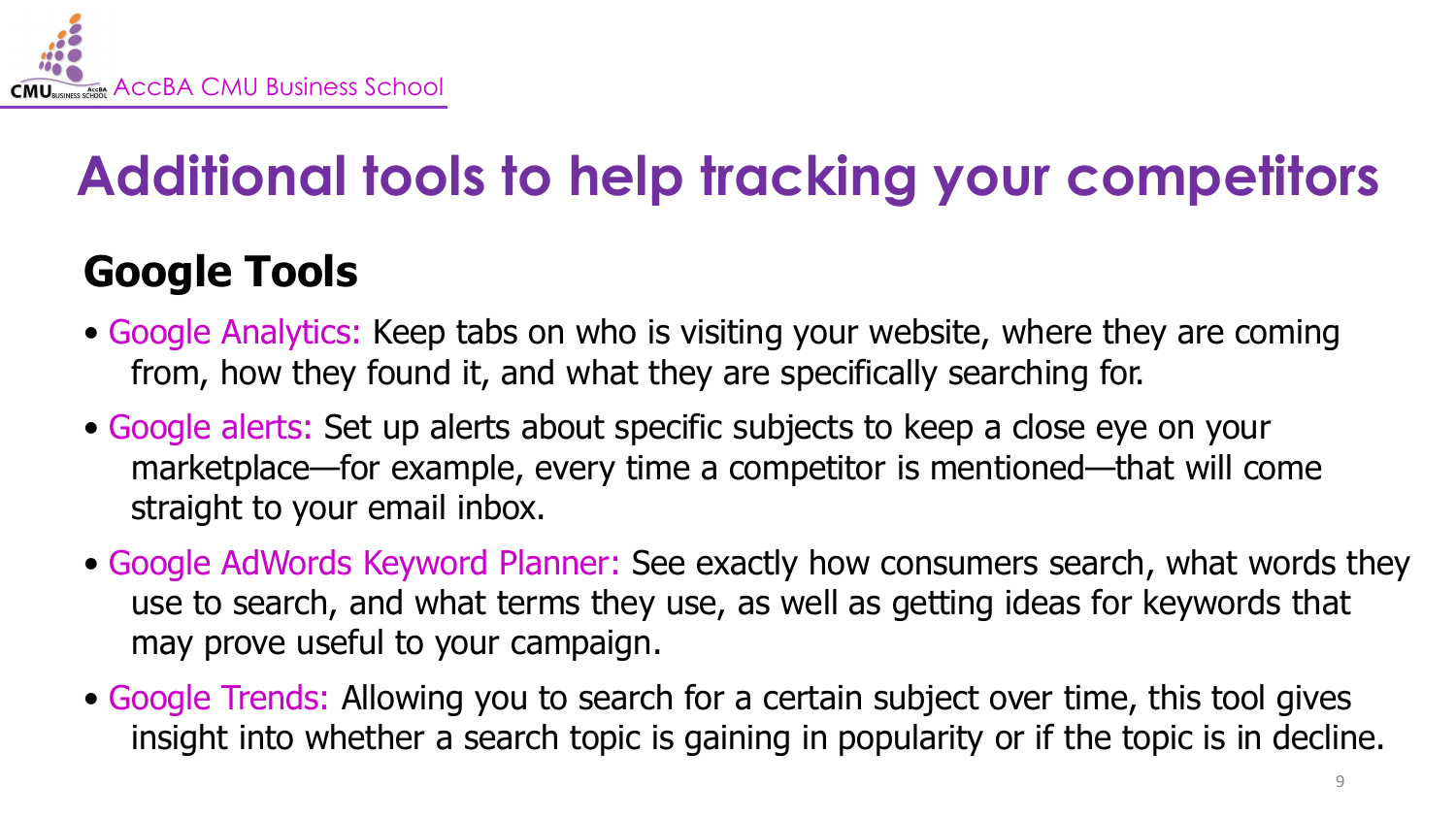

#### **Additional tools to help tracking your competitors**

#### **Google Tools**

- Google Analytics: Keep tabs on who is visiting your website, where they are coming from, how they found it, and what they are specifically searching for.
- Google alerts: Set up alerts about specific subjects to keep a close eye on your marketplace—for example, every time a competitor is mentioned—that will come straight to your email inbox.
- Google AdWords Keyword Planner: See exactly how consumers search, what words they use to search, and what terms they use, as well as getting ideas for keywords that may prove useful to your campaign.
- Google Trends: Allowing you to search for a certain subject over time, this tool gives insight into whether a search topic is gaining in popularity or if the topic is in decline.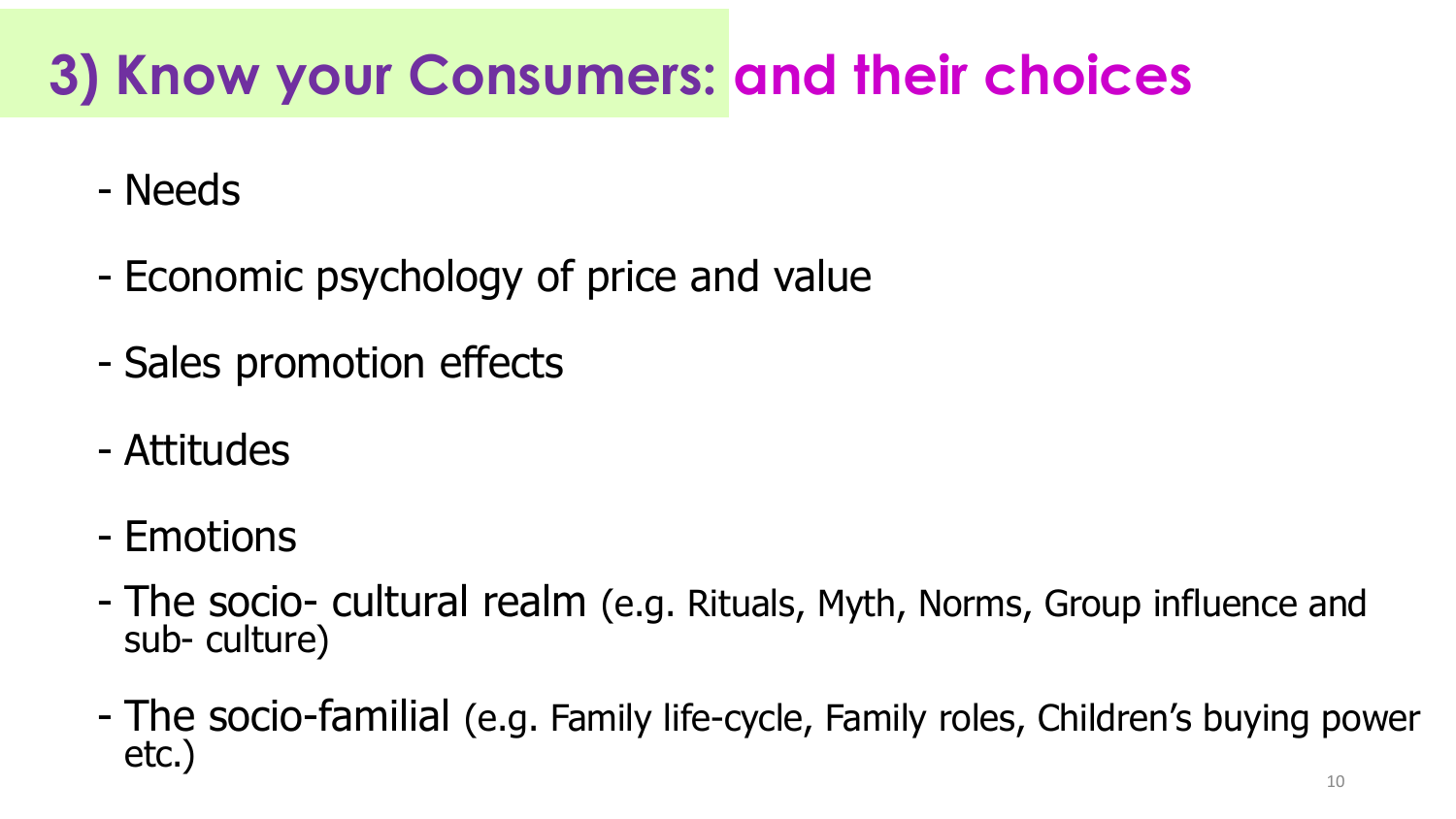#### **3) Know your Consumers: and their choices**

- Needs
- Economic psychology of price and value
- Sales promotion effects
- Attitudes
- Emotions
- The socio- cultural realm (e.g. Rituals, Myth, Norms, Group influence and sub- culture)
- The socio-familial (e.g. Family life-cycle, Family roles, Children's buying power etc.)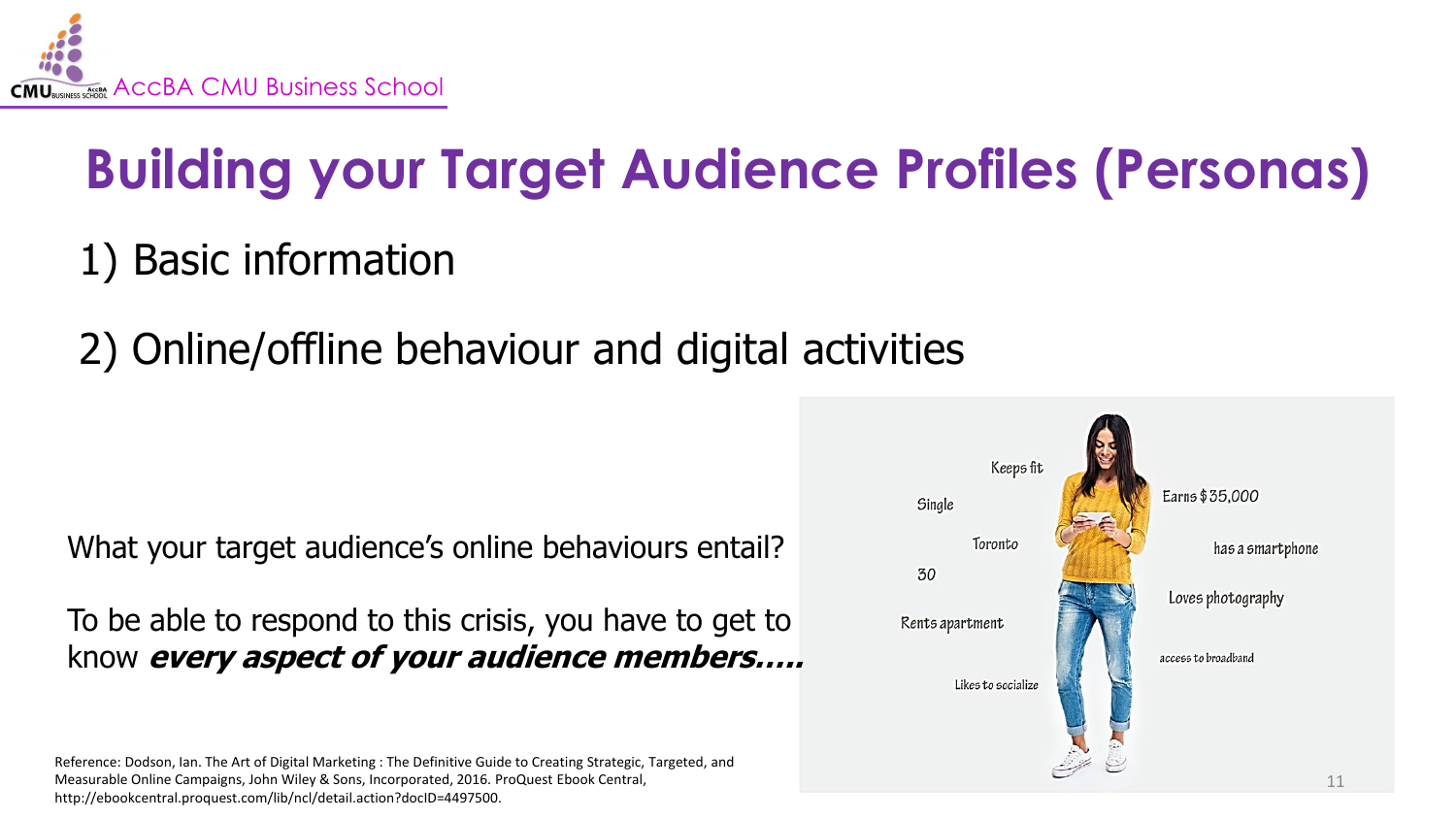

## **Building your Target Audience Profiles (Personas)**

#### 1) Basic information

#### 2) Online/offline behaviour and digital activities

What your target audience's online behaviours entail?

To be able to respond to this crisis, you have to get to know **every aspect of your audience members…..**

Reference: Dodson, Ian. The Art of Digital Marketing : The Definitive Guide to Creating Strategic, Targeted, and Measurable Online Campaigns, John Wiley & Sons, Incorporated, 2016. ProQuest Ebook Central, http://ebookcentral.proquest.com/lib/ncl/detail.action?docID=4497500.

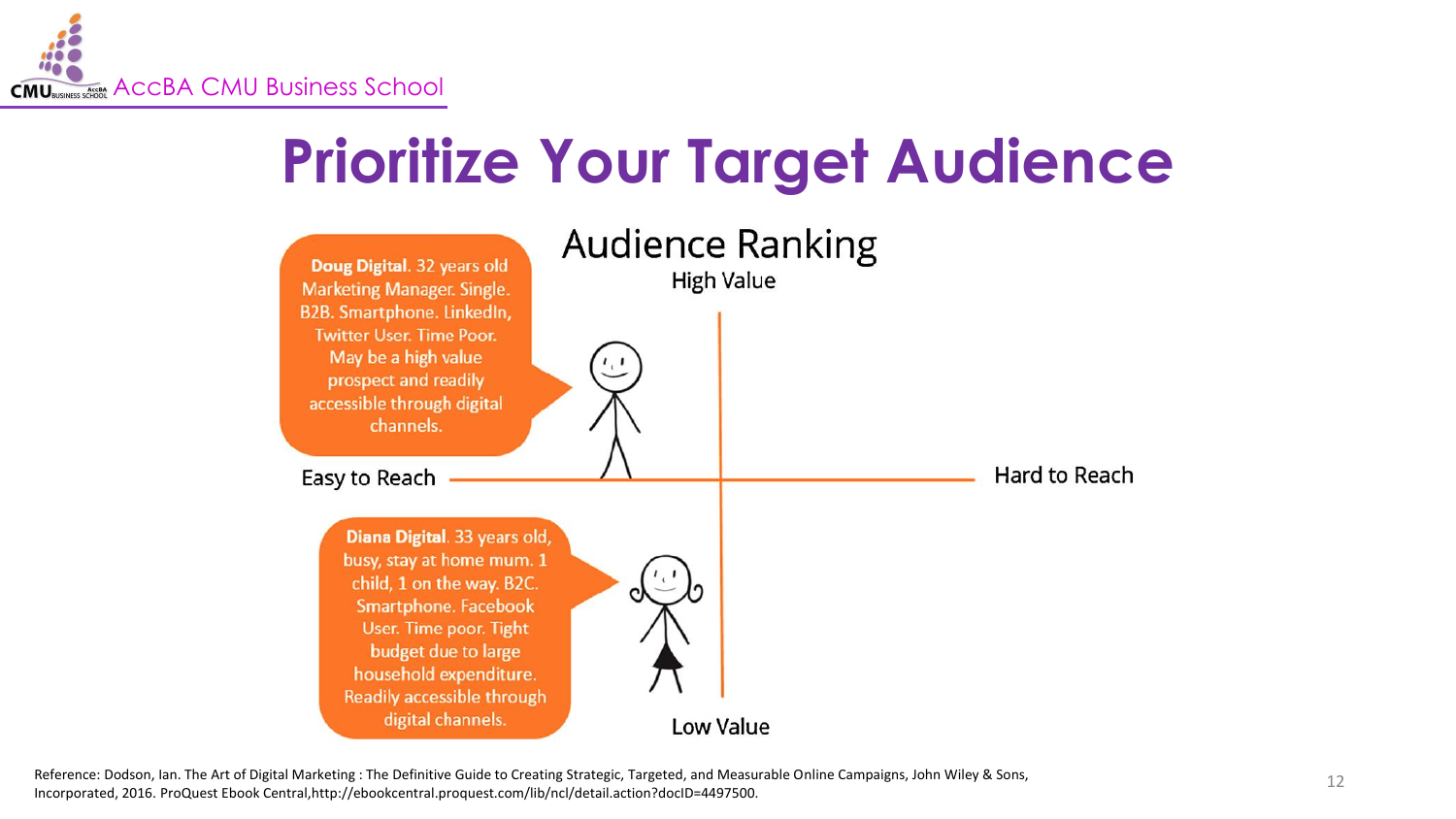

## **Prioritize Your Target Audience**



Reference: Dodson, Ian. The Art of Digital Marketing : The Definitive Guide to Creating Strategic, Targeted, and Measurable Online Campaigns, John Wiley & Sons, Incorporated, 2016. ProQuest Ebook Central,http://ebookcentral.proquest.com/lib/ncl/detail.action?docID=4497500.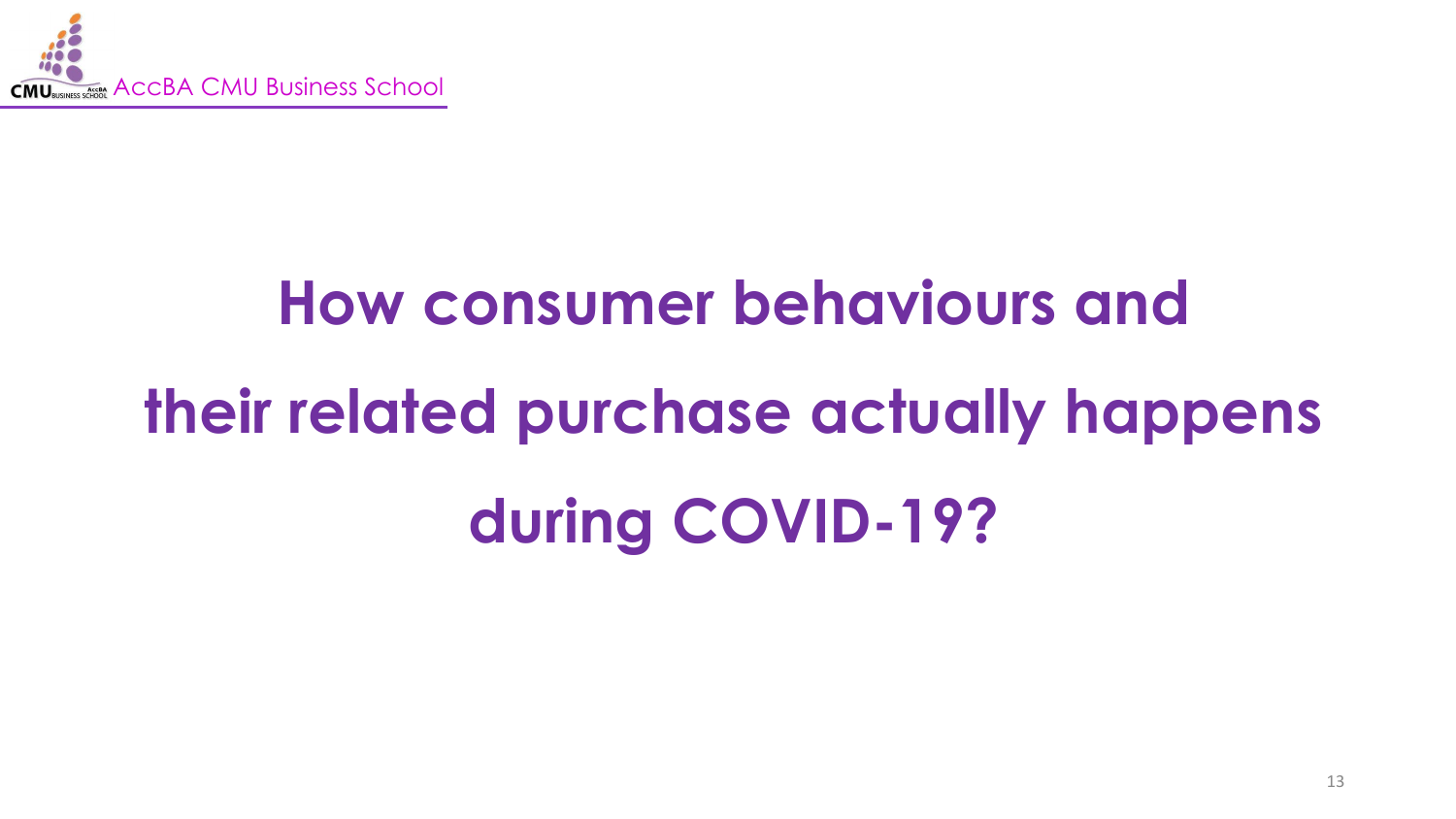

# **How consumer behaviours and their related purchase actually happens during COVID-19?**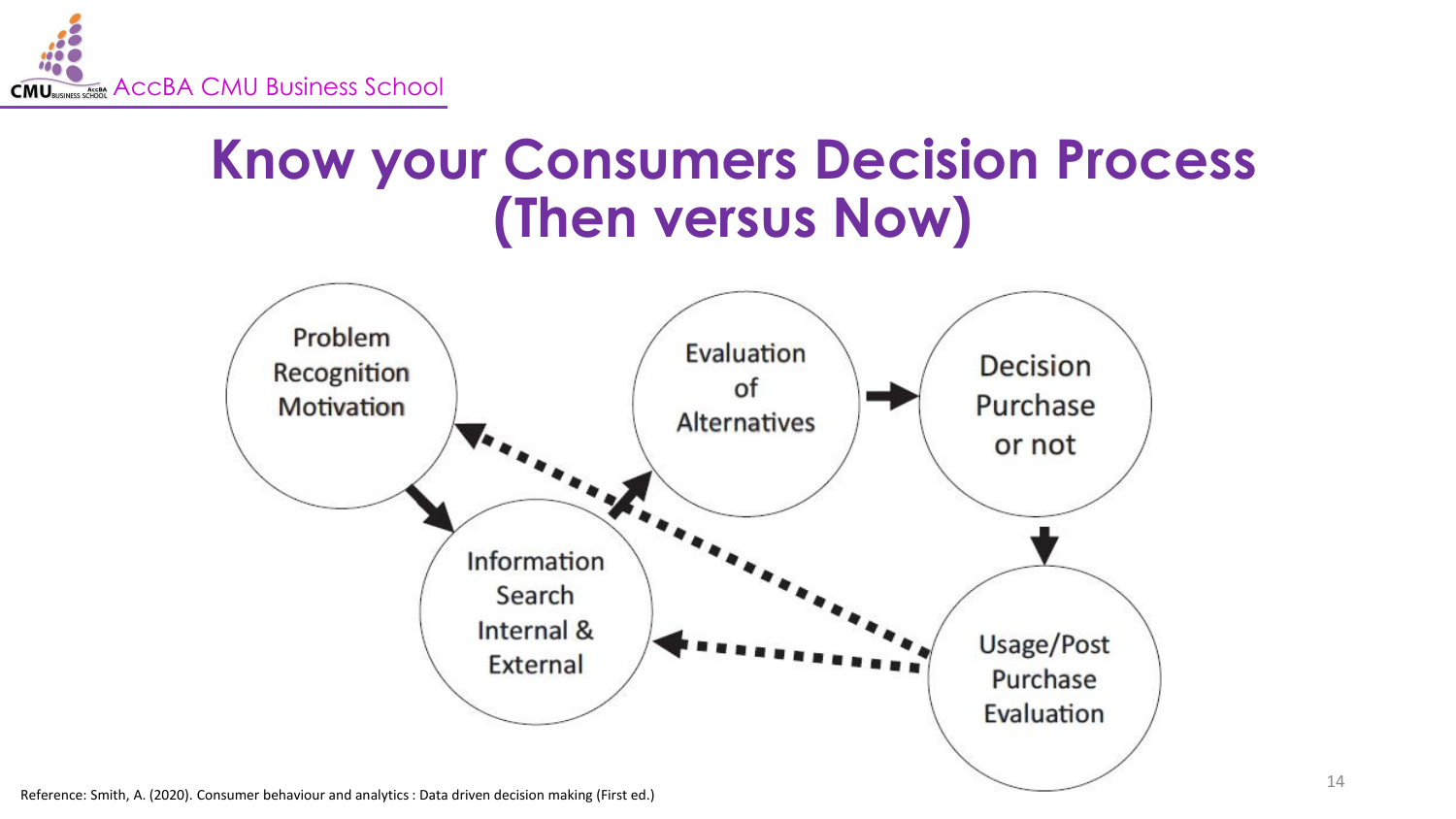

#### **Know your Consumers Decision Process (Then versus Now)**

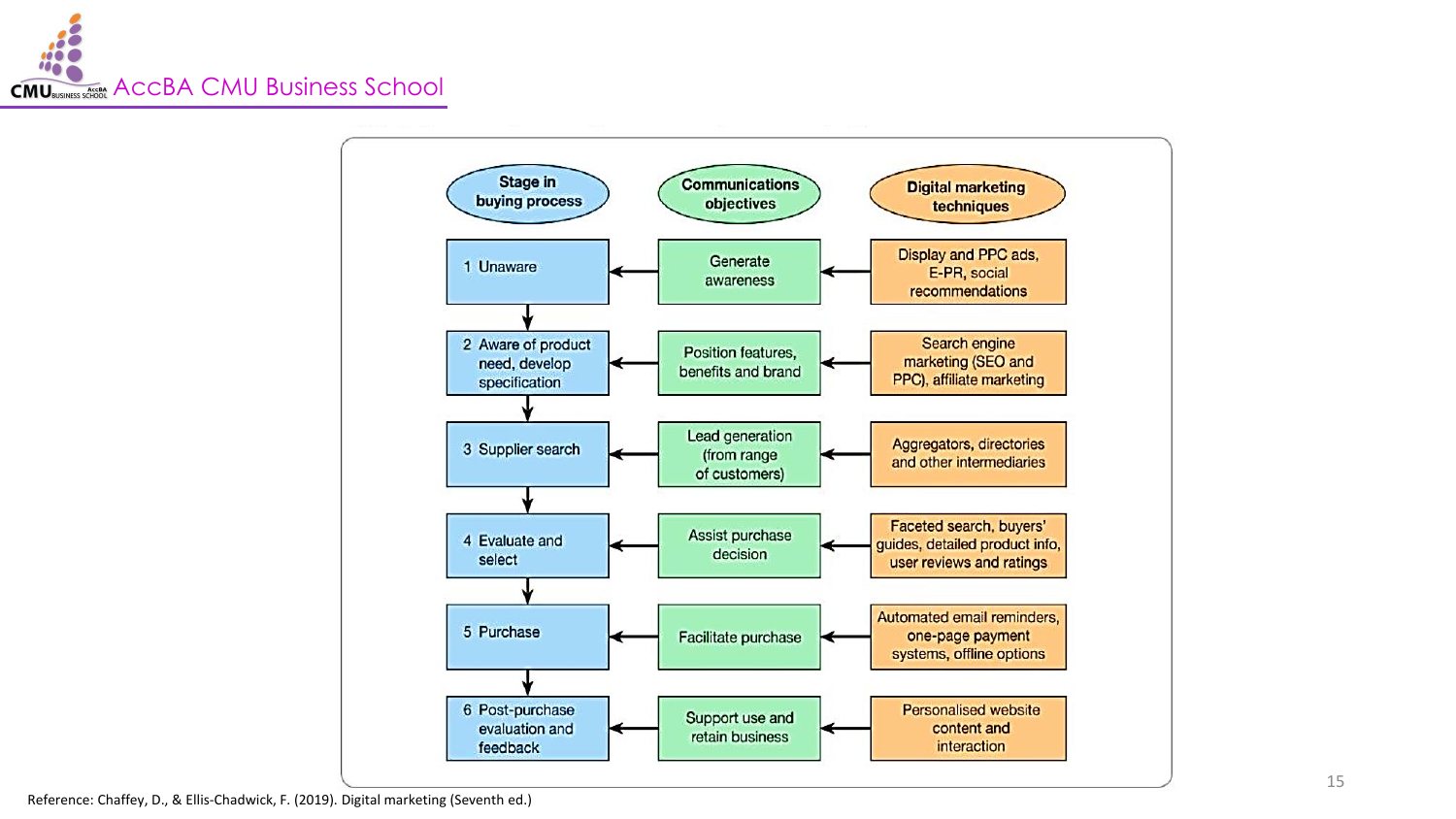

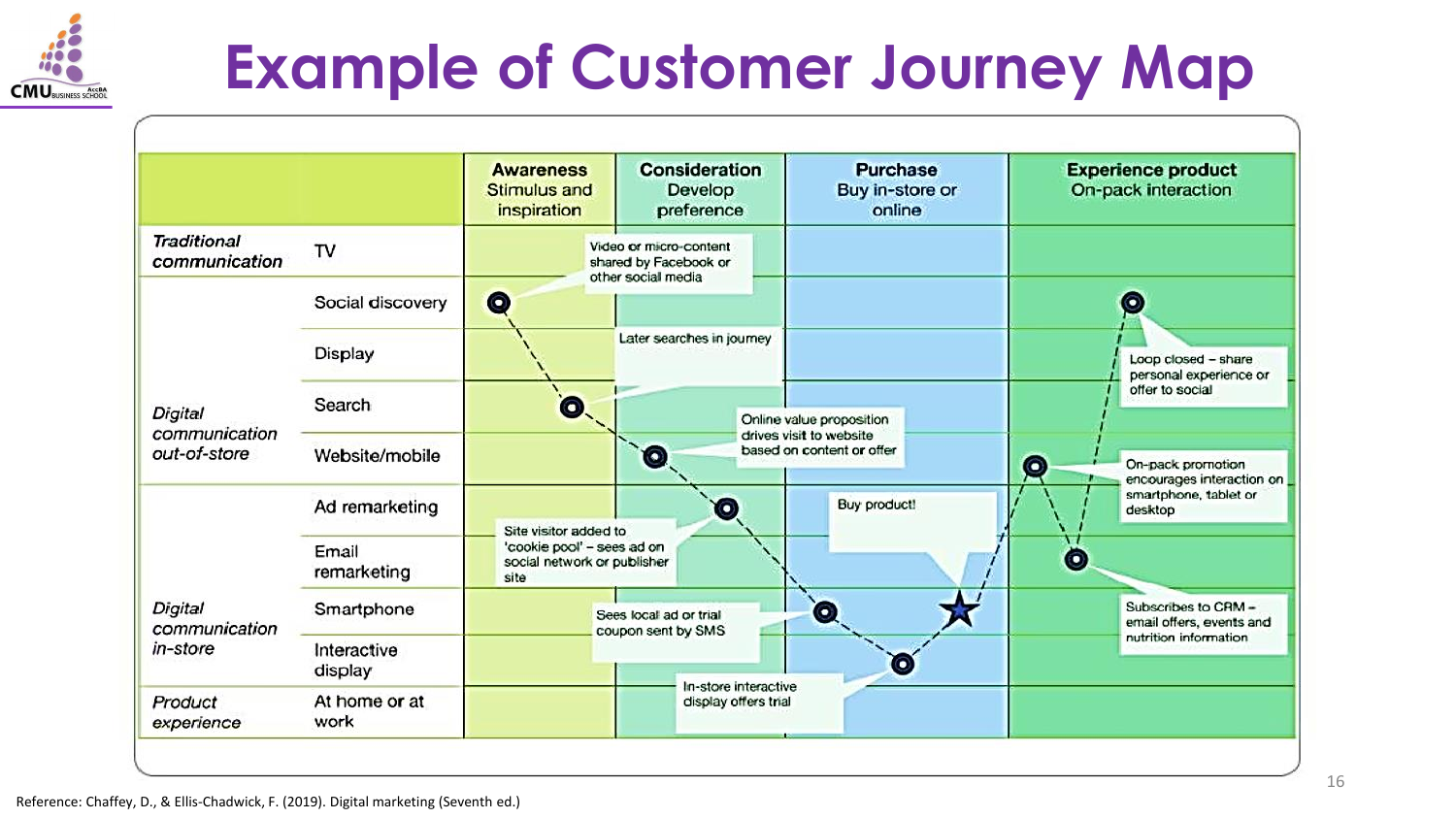

## **Example of Customer Journey Map**

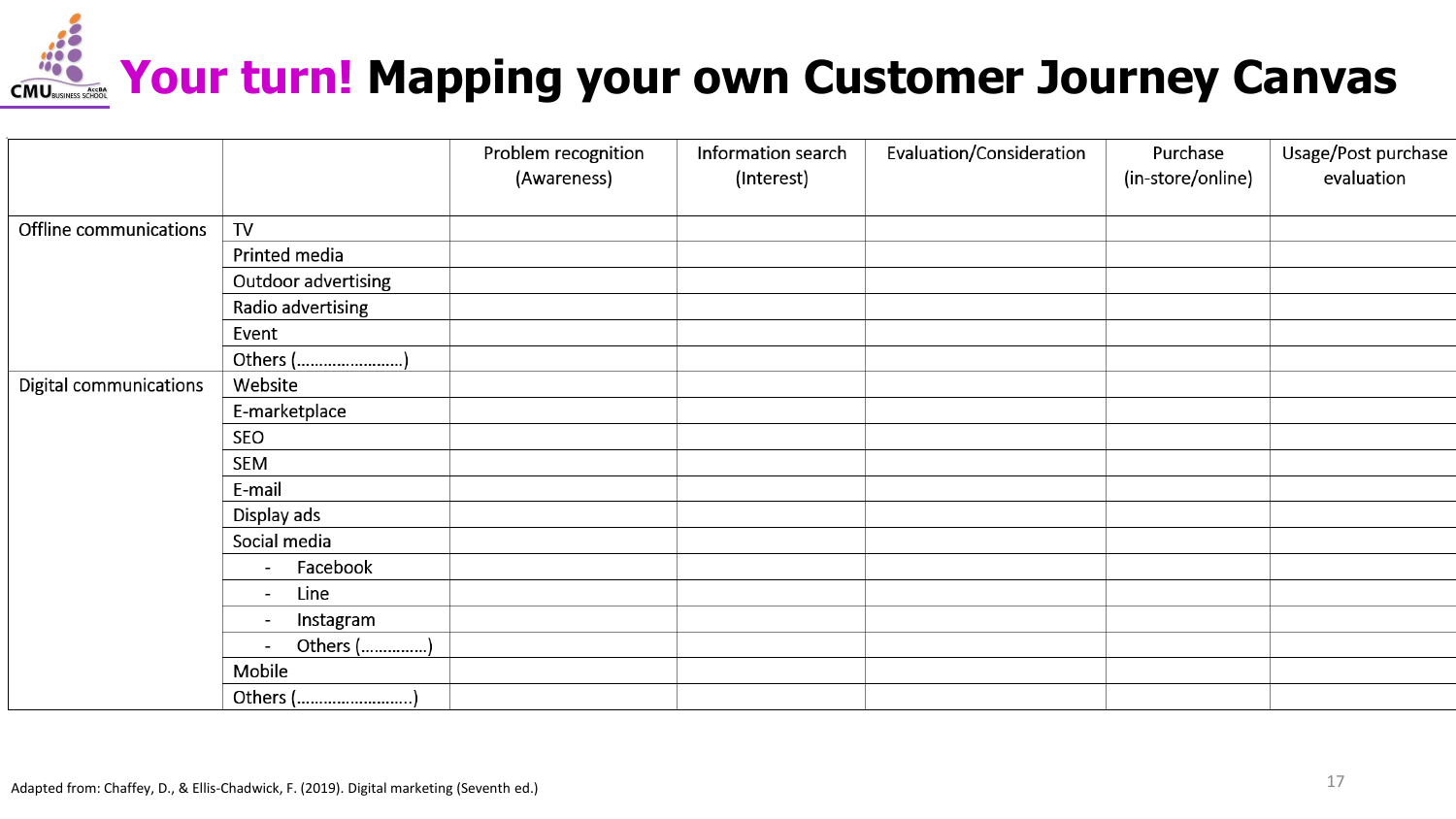# **Anulisater School Your turn! Mapping your own Customer Journey Canvas**

|                        |                                       | Problem recognition | Information search | Evaluation/Consideration | Purchase          | Usage/Post purchase |
|------------------------|---------------------------------------|---------------------|--------------------|--------------------------|-------------------|---------------------|
|                        |                                       | (Awareness)         | (Interest)         |                          | (in-store/online) | evaluation          |
| Offline communications | TV                                    |                     |                    |                          |                   |                     |
|                        | Printed media                         |                     |                    |                          |                   |                     |
|                        | Outdoor advertising                   |                     |                    |                          |                   |                     |
|                        | Radio advertising                     |                     |                    |                          |                   |                     |
|                        | Event                                 |                     |                    |                          |                   |                     |
|                        | Others ()                             |                     |                    |                          |                   |                     |
| Digital communications | Website                               |                     |                    |                          |                   |                     |
|                        | E-marketplace                         |                     |                    |                          |                   |                     |
|                        | SEO                                   |                     |                    |                          |                   |                     |
|                        | <b>SEM</b>                            |                     |                    |                          |                   |                     |
|                        | E-mail                                |                     |                    |                          |                   |                     |
|                        | Display ads                           |                     |                    |                          |                   |                     |
|                        | Social media                          |                     |                    |                          |                   |                     |
|                        | Facebook<br>$\overline{\phantom{a}}$  |                     |                    |                          |                   |                     |
|                        | Line<br>$\overline{\phantom{a}}$      |                     |                    |                          |                   |                     |
|                        | Instagram<br>$\overline{\phantom{a}}$ |                     |                    |                          |                   |                     |
|                        | Others ()<br>$\overline{\phantom{a}}$ |                     |                    |                          |                   |                     |
|                        | Mobile                                |                     |                    |                          |                   |                     |
|                        |                                       |                     |                    |                          |                   |                     |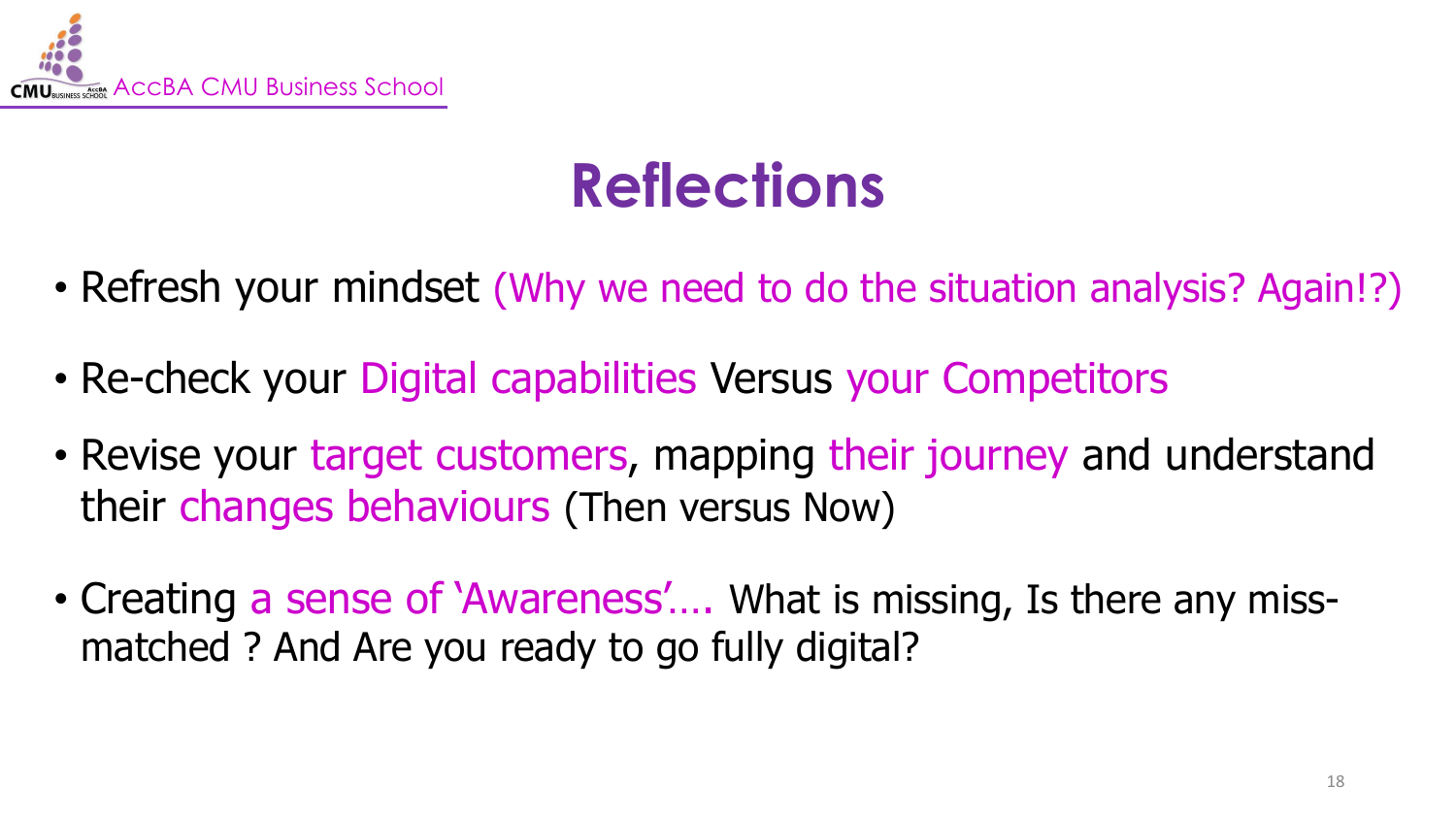

## **Reflections**

- Refresh your mindset (Why we need to do the situation analysis? Again!?)
- Re-check your Digital capabilities Versus your Competitors
- Revise your target customers, mapping their journey and understand their changes behaviours (Then versus Now)
- Creating a sense of 'Awareness'.... What is missing, Is there any missmatched ? And Are you ready to go fully digital?